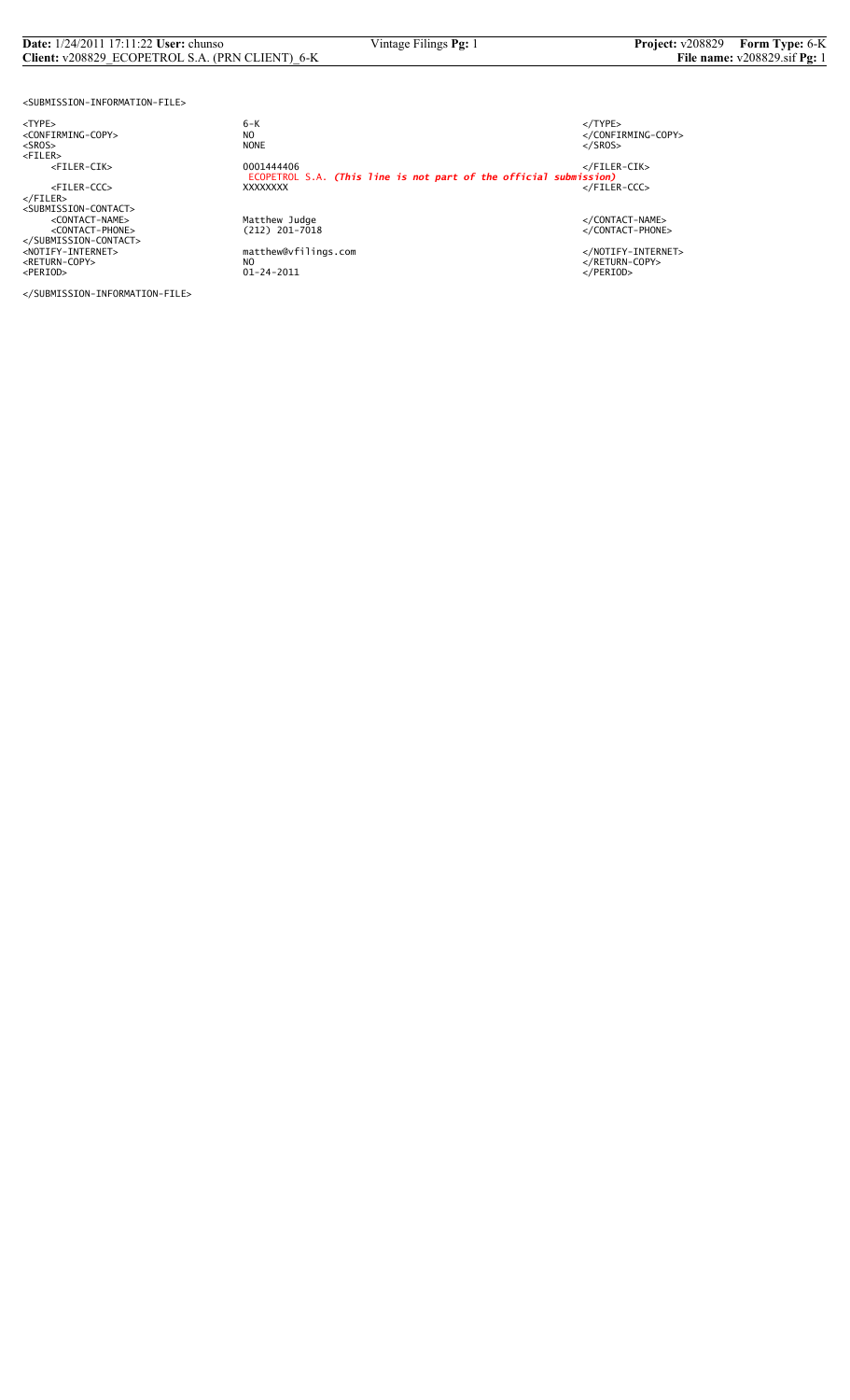# **Date:**  $1/24/2011$  17:11:22 **User:** chunso Vintage Filings **Pg:** 1 **Project:** v208829 **Form Type:** 6-K **Client:** v208829 **ECOPETROL S.A.** (PRN CLIENT) 6-K **File name:** v208829.sif **Pg:** 1 **Client:** v208829\_ECOPETROL S.A. (PRN CLIENT)\_6-K

<SUBMISSION-INFORMATION-FILE>

<TYPE> 6-K </TYPE>

</SUBMISSION-INFORMATION-FILE>

 $6 - K$ NO<br>
NO<br>
NONE<br>
NONE<br>
NONE<br>
S/SROS> <SROS> NONE </SROS> <FILER> <FILER-CIK> 0001444406 </FILER-CIK> ECOPETROL S.A. *(This line is not part of the official submission)* <FILER-CCC> XXXXXXXX </FILER-CCC> </FILER><br><SUBMISSION-CONTACT><br><</CONTACT-PHONE><br><</CONTACT-PHONE><br><</CONTACT-PHONE><br></SUBMISSION-CONTACT><br></SUBMISSION-CONTACT><br></RETURN-COPY>>>>>>>>>>>>>>>>+AOTIFY-INTERNET><br></RETURN-COPY>>+AOTIFY-INTERNET><br></RETURN-COPY>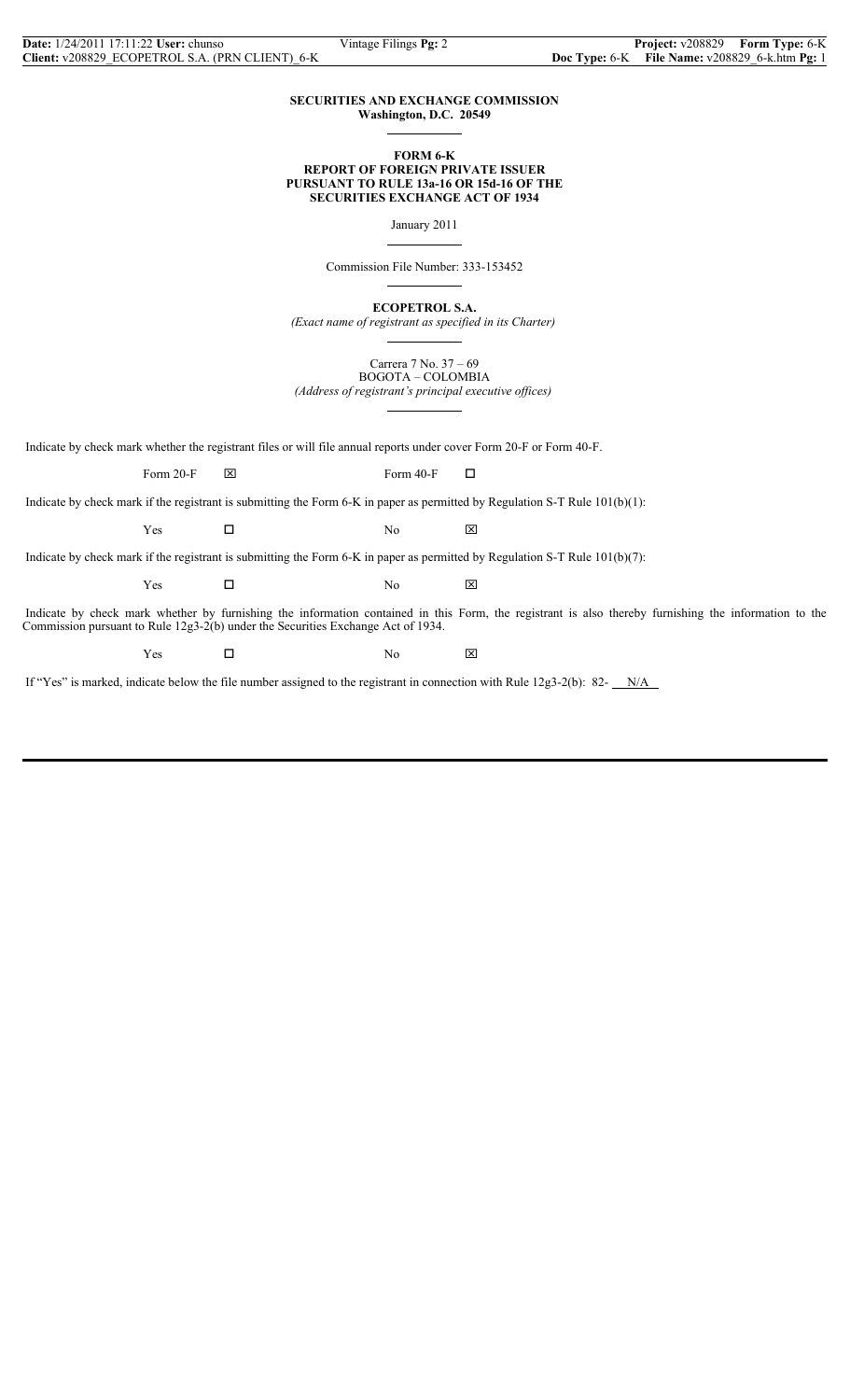## **SECURITIES AND EXCHANGE COMMISSION Washington, D.C. 20549**

 $\overline{a}$ 

 $\overline{a}$ 

 $\overline{a}$ 

 $\overline{a}$ 

#### **FORM 6-K REPORT OF FOREIGN PRIVATE ISSUER PURSUANT TO RULE 13a-16 OR 15d-16 OF THE SECURITIES EXCHANGE ACT OF 1934**

January 2011

Commission File Number: 333-153452

**ECOPETROL S.A.**

*(Exact name of registrant as specified in its Charter)*  $\overline{a}$ 

> Carrera 7 No. 37 – 69 BOGOTA – COLOMBIA

*(Address of registrant's principal executive offices)*

Indicate by check mark whether the registrant files or will file annual reports under cover Form 20-F or Form 40-F.

Form 20-F  $\boxtimes$  Form 40-F  $\Box$ 

Indicate by check mark if the registrant is submitting the Form 6-K in paper as permitted by Regulation S-T Rule 101(b)(1):

 $Yes$   $\square$  No  $\boxtimes$ 

Indicate by check mark if the registrant is submitting the Form 6-K in paper as permitted by Regulation S-T Rule 101(b)(7):

 $Yes$   $\square$  No  $\boxtimes$ 

 Indicate by check mark whether by furnishing the information contained in this Form, the registrant is also thereby furnishing the information to the Commission pursuant to Rule 12g3-2(b) under the Securities Exchange Act of 1934.

Yes □ No ⊠

If "Yes" is marked, indicate below the file number assigned to the registrant in connection with Rule 12g3-2(b): 82- $N/A$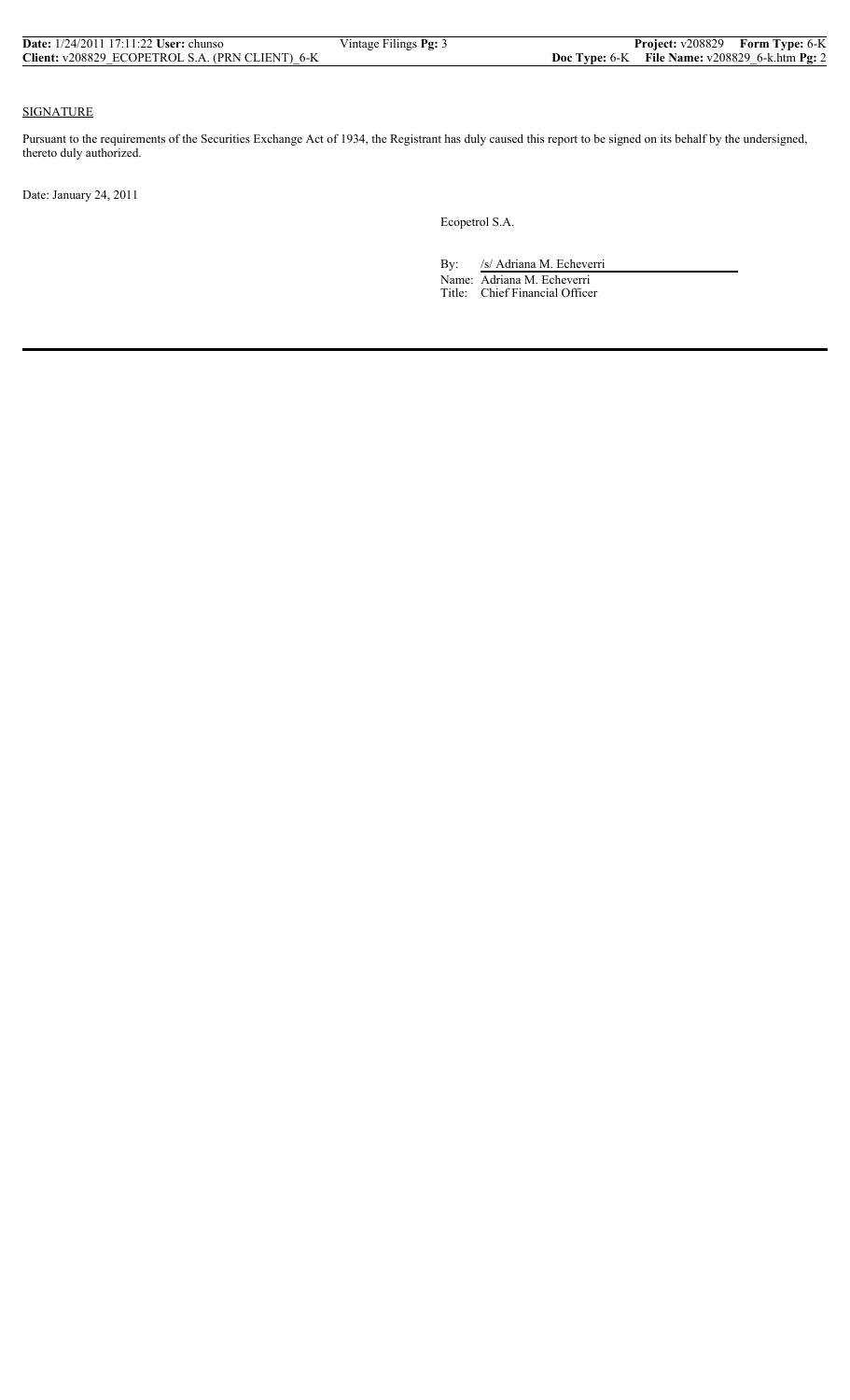| <b>Date:</b> $1/24/2011$ 17:11:22 <b>User:</b> chunso | Vintage Filings Pg: 3 |                                                    | <b>Project:</b> v208829 Form Type: 6-K |
|-------------------------------------------------------|-----------------------|----------------------------------------------------|----------------------------------------|
| Client: v208829 ECOPETROL S.A. (PRN CLIENT) 6-K       |                       | Doc Type: $6-K$ File Name: $v208829$ 6-k.htm Pg: 2 |                                        |

## SIGNATURE

Pursuant to the requirements of the Securities Exchange Act of 1934, the Registrant has duly caused this report to be signed on its behalf by the undersigned, thereto duly authorized.

Date: January 24, 2011

Ecopetrol S.A.

By: /s/ Adriana M. Echeverri

 Name: Adriana M. Echeverri Title: Chief Financial Officer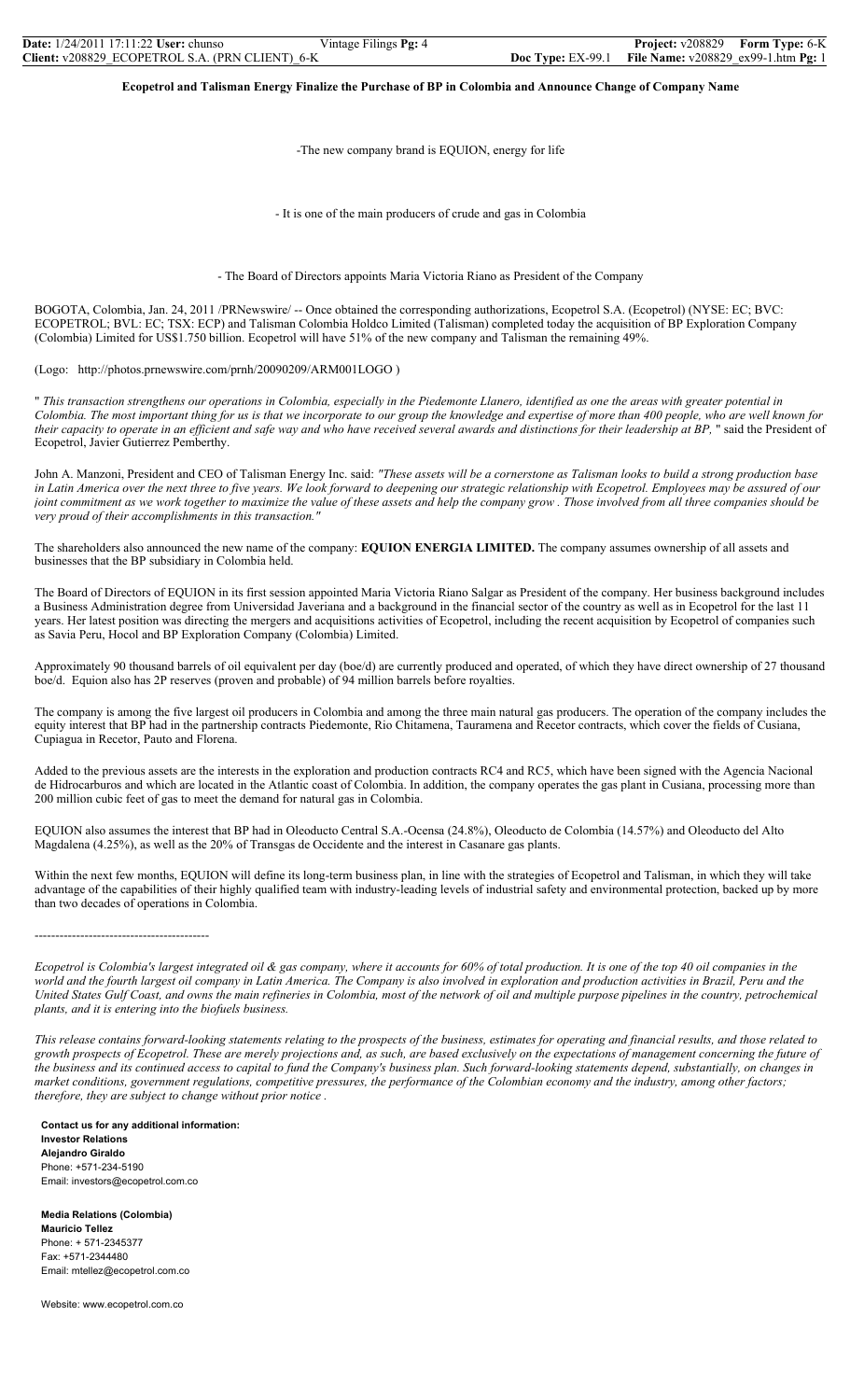**Ecopetrol and Talisman Energy Finalize the Purchase of BP in Colombia and Announce Change of Company Name** 

-The new company brand is EQUION, energy for life

- It is one of the main producers of crude and gas in Colombia

- The Board of Directors appoints Maria Victoria Riano as President of the Company

BOGOTA, Colombia, Jan. 24, 2011 /PRNewswire/ -- Once obtained the corresponding authorizations, Ecopetrol S.A. (Ecopetrol) (NYSE: EC; BVC: ECOPETROL; BVL: EC; TSX: ECP) and Talisman Colombia Holdco Limited (Talisman) completed today the acquisition of BP Exploration Company (Colombia) Limited for US\$1.750 billion. Ecopetrol will have 51% of the new company and Talisman the remaining 49%.

(Logo: http://photos.prnewswire.com/prnh/20090209/ARM001LOGO )

" *This transaction strengthens our operations in Colombia, especially in the Piedemonte Llanero, identified as one the areas with greater potential in Colombia. The most important thing for us is that we incorporate to our group the knowledge and expertise of more than 400 people, who are well known for their capacity to operate in an efficient and safe way and who have received several awards and distinctions for their leadership at BP,* " said the President of Ecopetrol, Javier Gutierrez Pemberthy.

John A. Manzoni, President and CEO of Talisman Energy Inc. said: *"These assets will be a cornerstone as Talisman looks to build a strong production base in Latin America over the next three to five years. We look forward to deepening our strategic relationship with Ecopetrol. Employees may be assured of our joint commitment as we work together to maximize the value of these assets and help the company grow . Those involved from all three companies should be very proud of their accomplishments in this transaction."* 

The shareholders also announced the new name of the company: **EQUION ENERGIA LIMITED.** The company assumes ownership of all assets and businesses that the BP subsidiary in Colombia held.

The Board of Directors of EQUION in its first session appointed Maria Victoria Riano Salgar as President of the company. Her business background includes a Business Administration degree from Universidad Javeriana and a background in the financial sector of the country as well as in Ecopetrol for the last 11 years. Her latest position was directing the mergers and acquisitions activities of Ecopetrol, including the recent acquisition by Ecopetrol of companies such as Savia Peru, Hocol and BP Exploration Company (Colombia) Limited.

Approximately 90 thousand barrels of oil equivalent per day (boe/d) are currently produced and operated, of which they have direct ownership of 27 thousand boe/d. Equion also has 2P reserves (proven and probable) of 94 million barrels before royalties.

The company is among the five largest oil producers in Colombia and among the three main natural gas producers. The operation of the company includes the equity interest that BP had in the partnership contracts Piedemonte, Rio Chitamena, Tauramena and Recetor contracts, which cover the fields of Cusiana, Cupiagua in Recetor, Pauto and Florena.

Added to the previous assets are the interests in the exploration and production contracts RC4 and RC5, which have been signed with the Agencia Nacional de Hidrocarburos and which are located in the Atlantic coast of Colombia. In addition, the company operates the gas plant in Cusiana, processing more than 200 million cubic feet of gas to meet the demand for natural gas in Colombia.

EQUION also assumes the interest that BP had in Oleoducto Central S.A.-Ocensa (24.8%), Oleoducto de Colombia (14.57%) and Oleoducto del Alto Magdalena (4.25%), as well as the 20% of Transgas de Occidente and the interest in Casanare gas plants.

Within the next few months, EQUION will define its long-term business plan, in line with the strategies of Ecopetrol and Talisman, in which they will take advantage of the capabilities of their highly qualified team with industry-leading levels of industrial safety and environmental protection, backed up by more than two decades of operations in Colombia.

------------------------------------------

*Ecopetrol is Colombia's largest integrated oil & gas company, where it accounts for 60% of total production. It is one of the top 40 oil companies in the world and the fourth largest oil company in Latin America. The Company is also involved in exploration and production activities in Brazil, Peru and the United States Gulf Coast, and owns the main refineries in Colombia, most of the network of oil and multiple purpose pipelines in the country, petrochemical plants, and it is entering into the biofuels business.* 

*This release contains forward-looking statements relating to the prospects of the business, estimates for operating and financial results, and those related to growth prospects of Ecopetrol. These are merely projections and, as such, are based exclusively on the expectations of management concerning the future of the business and its continued access to capital to fund the Company's business plan. Such forward-looking statements depend, substantially, on changes in market conditions, government regulations, competitive pressures, the performance of the Colombian economy and the industry, among other factors; therefore, they are subject to change without prior notice .* 

**Contact us for any additional information: Investor Relations Alejandro Giraldo**  Phone: +571-234-5190 Email: investors@ecopetrol.com.co

**Media Relations (Colombia) Mauricio Tellez**  Phone: + 571-2345377 Fax: +571-2344480 Email: mtellez@ecopetrol.com.co

Website: www.ecopetrol.com.co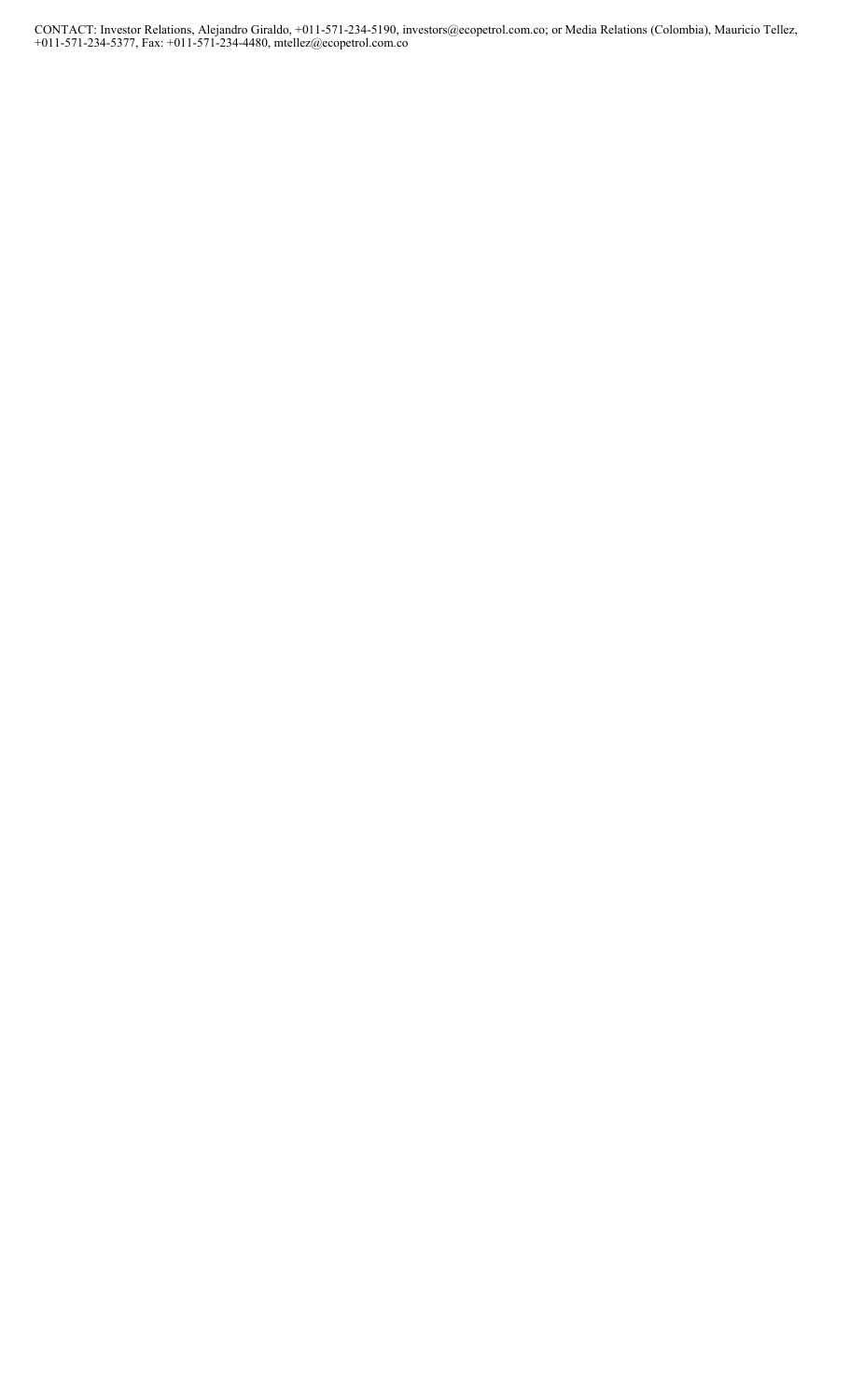CONTACT: Investor Relations, Alejandro Giraldo, +011-571-234-5190, investors@ecopetrol.com.co; or Media Relations (Colombia), Mauricio Tellez, +011-571-234-5377, Fax: +011-571-234-4480, mtellez@ecopetrol.com.co